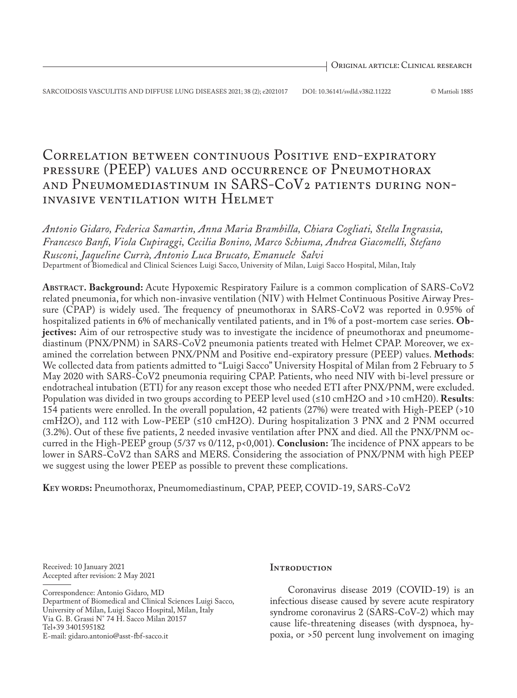# Correlation between continuous Positive end-expiratory pressure (PEEP) values and occurrence of Pneumothorax and Pneumomediastinum in SARS-CoV2 patients during noninvasive ventilation with Helmet

*Antonio Gidaro, Federica Samartin, Anna Maria Brambilla, Chiara Cogliati, Stella Ingrassia, Francesco Banfi, Viola Cupiraggi, Cecilia Bonino, Marco Schiuma, Andrea Giacomelli, Stefano Rusconi, Jaqueline Currà, Antonio Luca Brucato, Emanuele Salvi*  Department of Biomedical and Clinical Sciences Luigi Sacco, University of Milan, Luigi Sacco Hospital, Milan, Italy

**Abstract. Background:** Acute Hypoxemic Respiratory Failure is a common complication of SARS-CoV2 related pneumonia, for which non-invasive ventilation (NIV) with Helmet Continuous Positive Airway Pressure (CPAP) is widely used. The frequency of pneumothorax in SARS-CoV2 was reported in 0.95% of hospitalized patients in 6% of mechanically ventilated patients, and in 1% of a post-mortem case series. **Objectives:** Aim of our retrospective study was to investigate the incidence of pneumothorax and pneumomediastinum (PNX/PNM) in SARS-CoV2 pneumonia patients treated with Helmet CPAP. Moreover, we examined the correlation between PNX/PNM and Positive end-expiratory pressure (PEEP) values. **Methods**: We collected data from patients admitted to "Luigi Sacco" University Hospital of Milan from 2 February to 5 May 2020 with SARS-CoV2 pneumonia requiring CPAP. Patients, who need NIV with bi-level pressure or endotracheal intubation (ETI) for any reason except those who needed ETI after PNX/PNM, were excluded. Population was divided in two groups according to PEEP level used (≤10 cmH2O and >10 cmH20). **Results**: 154 patients were enrolled. In the overall population, 42 patients (27%) were treated with High-PEEP (>10 cmH2O), and 112 with Low-PEEP (≤10 cmH2O). During hospitalization 3 PNX and 2 PNM occurred (3.2%). Out of these five patients, 2 needed invasive ventilation after PNX and died. All the PNX/PNM occurred in the High-PEEP group (5/37 vs 0/112, p<0,001). **Conclusion:** The incidence of PNX appears to be lower in SARS-CoV2 than SARS and MERS. Considering the association of PNX/PNM with high PEEP we suggest using the lower PEEP as possible to prevent these complications.

**Key words:** Pneumothorax, Pneumomediastinum, CPAP, PEEP, COVID-19, SARS-CoV2

Received: 10 January 2021 Accepted after revision: 2 May 2021

Correspondence: Antonio Gidaro, MD Department of Biomedical and Clinical Sciences Luigi Sacco, University of Milan, Luigi Sacco Hospital, Milan, Italy Via G. B. Grassi N° 74 H. Sacco Milan 20157 Tel+39 3401595182

E-mail: gidaro.antonio@asst-fbf-sacco.it

# **INTRODUCTION**

Coronavirus disease 2019 (COVID-19) is an infectious disease caused by severe acute respiratory syndrome coronavirus 2 (SARS-CoV-2) which may cause life-threatening diseases (with dyspnoea, hypoxia, or >50 percent lung involvement on imaging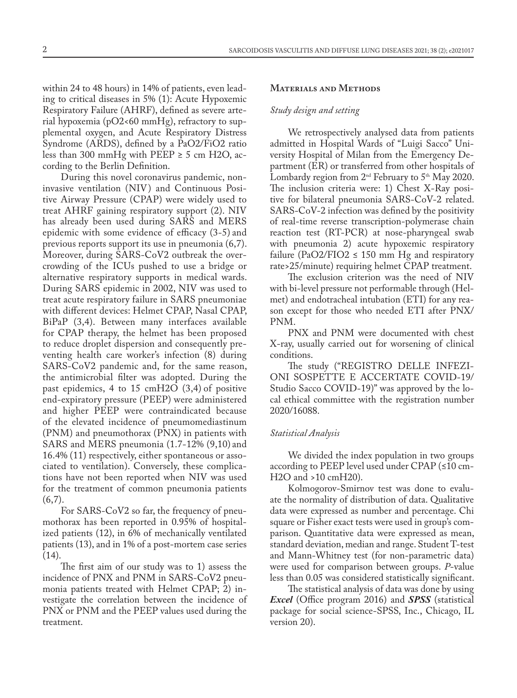within 24 to 48 hours) in 14% of patients, even leading to critical diseases in 5% (1): Acute Hypoxemic Respiratory Failure (AHRF), defined as severe arterial hypoxemia (pO2<60 mmHg), refractory to supplemental oxygen, and Acute Respiratory Distress Syndrome (ARDS), defined by a PaO2/FiO2 ratio less than 300 mmHg with PEEP  $\geq$  5 cm H2O, according to the Berlin Definition.

During this novel coronavirus pandemic, noninvasive ventilation (NIV) and Continuous Positive Airway Pressure (CPAP) were widely used to treat AHRF gaining respiratory support (2). NIV has already been used during SARS and MERS epidemic with some evidence of efficacy (3-5) and previous reports support its use in pneumonia (6,7). Moreover, during SARS-CoV2 outbreak the overcrowding of the ICUs pushed to use a bridge or alternative respiratory supports in medical wards. During SARS epidemic in 2002, NIV was used to treat acute respiratory failure in SARS pneumoniae with different devices: Helmet CPAP, Nasal CPAP, BiPaP (3,4). Between many interfaces available for CPAP therapy, the helmet has been proposed to reduce droplet dispersion and consequently preventing health care worker's infection (8) during SARS-CoV2 pandemic and, for the same reason, the antimicrobial filter was adopted. During the past epidemics, 4 to 15 cmH2O (3,4) of positive end-expiratory pressure (PEEP) were administered and higher PEEP were contraindicated because of the elevated incidence of pneumomediastinum (PNM) and pneumothorax (PNX) in patients with SARS and MERS pneumonia (1.7-12% (9,10) and 16.4% (11) respectively, either spontaneous or associated to ventilation). Conversely, these complications have not been reported when NIV was used for the treatment of common pneumonia patients  $(6,7)$ .

For SARS-CoV2 so far, the frequency of pneumothorax has been reported in 0.95% of hospitalized patients (12), in 6% of mechanically ventilated patients (13), and in 1% of a post-mortem case series  $(14)$ .

The first aim of our study was to 1) assess the incidence of PNX and PNM in SARS-CoV2 pneumonia patients treated with Helmet CPAP; 2) investigate the correlation between the incidence of PNX or PNM and the PEEP values used during the treatment.

## **Materials and Methods**

#### *Study design and setting*

We retrospectively analysed data from patients admitted in Hospital Wards of "Luigi Sacco" University Hospital of Milan from the Emergency Department (ER) or transferred from other hospitals of Lombardy region from  $2<sup>nd</sup>$  February to  $5<sup>th</sup>$  May 2020. The inclusion criteria were: 1) Chest X-Ray positive for bilateral pneumonia SARS-CoV-2 related. SARS-CoV-2 infection was defined by the positivity of real-time reverse transcription-polymerase chain reaction test (RT-PCR) at nose-pharyngeal swab with pneumonia 2) acute hypoxemic respiratory failure (PaO2/FIO2  $\leq$  150 mm Hg and respiratory rate>25/minute) requiring helmet CPAP treatment.

The exclusion criterion was the need of NIV with bi-level pressure not performable through (Helmet) and endotracheal intubation (ETI) for any reason except for those who needed ETI after PNX/ PNM.

PNX and PNM were documented with chest X-ray, usually carried out for worsening of clinical conditions.

The study ("REGISTRO DELLE INFEZI-ONI SOSPETTE E ACCERTATE COVID-19/ Studio Sacco COVID-19)" was approved by the local ethical committee with the registration number 2020/16088.

# *Statistical Analysis*

We divided the index population in two groups according to PEEP level used under CPAP (≤10 cm-H2O and >10 cmH20).

Kolmogorov-Smirnov test was done to evaluate the normality of distribution of data. Qualitative data were expressed as number and percentage. Chi square or Fisher exact tests were used in group's comparison. Quantitative data were expressed as mean, standard deviation, median and range. Student T-test and Mann-Whitney test (for non-parametric data) were used for comparison between groups. *P*-value less than 0.05 was considered statistically significant.

The statistical analysis of data was done by using *Excel* (Office program 2016) and *SPSS* (statistical package for social science-SPSS, Inc., Chicago, IL version 20).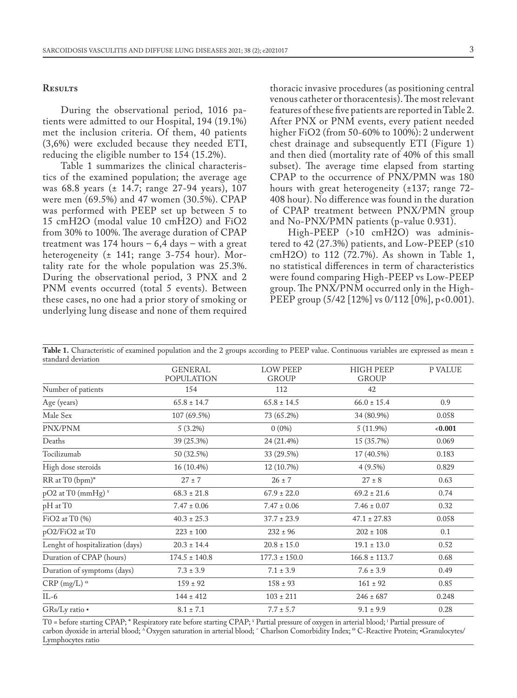### **Results**

During the observational period, 1016 patients were admitted to our Hospital, 194 (19.1%) met the inclusion criteria. Of them, 40 patients (3,6%) were excluded because they needed ETI, reducing the eligible number to 154 (15.2%).

Table 1 summarizes the clinical characteristics of the examined population; the average age was 68.8 years (± 14.7; range 27-94 years), 107 were men (69.5%) and 47 women (30.5%). CPAP was performed with PEEP set up between 5 to 15 cmH2O (modal value 10 cmH2O) and FiO2 from 30% to 100%. The average duration of CPAP treatment was  $174$  hours  $-6,4$  days  $-$  with a great heterogeneity (± 141; range 3-754 hour). Mortality rate for the whole population was 25.3%. During the observational period, 3 PNX and 2 PNM events occurred (total 5 events). Between these cases, no one had a prior story of smoking or underlying lung disease and none of them required

thoracic invasive procedures (as positioning central venous catheter or thoracentesis). The most relevant features of these five patients are reported in Table 2. After PNX or PNM events, every patient needed higher FiO2 (from 50-60% to 100%): 2 underwent chest drainage and subsequently ETI (Figure 1) and then died (mortality rate of 40% of this small subset). The average time elapsed from starting CPAP to the occurrence of PNX/PMN was 180 hours with great heterogeneity (±137; range 72- 408 hour). No difference was found in the duration of CPAP treatment between PNX/PMN group and No-PNX/PMN patients (p-value 0.931).

High-PEEP (>10 cmH2O) was administered to 42 (27.3%) patients, and Low-PEEP (≤10 cmH2O) to 112 (72.7%). As shown in Table 1, no statistical differences in term of characteristics were found comparing High-PEEP vs Low-PEEP group. The PNX/PNM occurred only in the High-PEEP group (5/42 [12%] vs 0/112 [0%], p<0.001).

Table 1. Characteristic of examined population and the 2 groups according to PEEP value. Continuous variables are expressed as mean ± standard deviation

|                                             | <b>GENERAL</b><br><b>POPULATION</b> | <b>LOW PEEP</b><br><b>GROUP</b> | <b>HIGH PEEP</b><br><b>GROUP</b> | P VALUE |  |
|---------------------------------------------|-------------------------------------|---------------------------------|----------------------------------|---------|--|
| Number of patients                          | 154                                 | 112                             | 42                               |         |  |
| Age (years)                                 | $65.8 \pm 14.7$                     | $65.8 \pm 14.5$                 | $66.0 \pm 15.4$                  | 0.9     |  |
| Male Sex                                    | 107 (69.5%)                         | 73 (65.2%)                      | 34 (80.9%)                       |         |  |
| PNX/PNM                                     | 5(3.2%)                             | $0(0\%)$                        | 5(11.9%)                         | 0.001   |  |
| Deaths                                      | 39 (25.3%)                          | 24 (21.4%)                      | 15 (35.7%)                       | 0.069   |  |
| Tocilizumab                                 | 50 (32.5%)                          | 33 (29.5%)                      | 17 (40.5%)                       | 0.183   |  |
| High dose steroids                          | 16 (10.4%)                          | 12 (10.7%)                      | $4(9.5\%)$                       | 0.829   |  |
| RR at T0 (bpm)*                             | $27 \pm 7$                          | $26 \pm 7$                      | $27 \pm 8$                       | 0.63    |  |
| pO2 at T0 (mmHg) <sup>¥</sup>               | $68.3 \pm 21.8$                     | $67.9 \pm 22.0$                 | $69.2 \pm 21.6$                  | 0.74    |  |
| pH at T0                                    | $7.47 \pm 0.06$                     | $7.47 \pm 0.06$                 | $7.46 \pm 0.07$                  | 0.32    |  |
| $FiO2$ at $T0$ $%$                          | $40.3 \pm 25.3$                     | $37.7 \pm 23.9$                 | $47.1 \pm 27.83$                 | 0.058   |  |
| pO2/FiO2 at T0                              | $223 \pm 100$                       | $232 \pm 96$                    | $202 \pm 108$                    | 0.1     |  |
| Lenght of hospitalization (days)            | $20.3 \pm 14.4$                     | $20.8 \pm 15.0$                 | $19.1 \pm 13.0$                  | 0.52    |  |
| Duration of CPAP (hours)                    | $174.5 \pm 140.8$                   | $177.3 \pm 150.0$               | $166.8 \pm 113.7$                | 0.68    |  |
| Duration of symptoms (days)                 | $7.3 \pm 3.9$                       | $7.1 \pm 3.9$                   | $7.6 \pm 3.9$                    | 0.49    |  |
| $CRP (mg/L)$ <sup><math>\Theta</math></sup> | $159 \pm 92$                        | $158 \pm 93$                    | $161 \pm 92$                     | 0.85    |  |
| $IL-6$                                      | $144 \pm 412$                       | $103 \pm 211$                   | $246 \pm 687$                    | 0.248   |  |
| GRs/Ly ratio .                              | $8.1 \pm 7.1$                       | $7.7 \pm 5.7$                   | $9.1 \pm 9.9$                    | 0.28    |  |

T0 = before starting CPAP; \* Respiratory rate before starting CPAP; \* Partial pressure of oxygen in arterial blood; ' Partial pressure of carbon dyoxide in arterial blood; ∆Oxygen saturation in arterial blood; ~ Charlson Comorbidity Index; ® C-Reactive Protein; ▪Granulocytes/ Lymphocytes ratio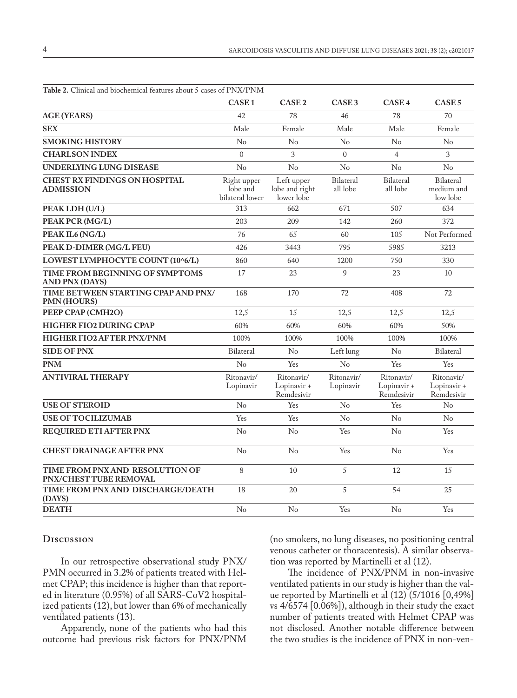| <b>Table 2.</b> Clinical and biochemical features about 5 cases of PNX/PNM |                                            |                                            |                              |                                         |                                            |  |  |  |  |
|----------------------------------------------------------------------------|--------------------------------------------|--------------------------------------------|------------------------------|-----------------------------------------|--------------------------------------------|--|--|--|--|
|                                                                            | CASE <sub>1</sub>                          | CASE <sub>2</sub>                          | CASE <sub>3</sub>            | CASE <sub>4</sub>                       | CASE <sub>5</sub>                          |  |  |  |  |
| <b>AGE (YEARS)</b>                                                         | 42                                         | 78                                         | 46                           | 78                                      | 70                                         |  |  |  |  |
| <b>SEX</b>                                                                 | Male                                       | Female                                     | Male                         | Male                                    | Female                                     |  |  |  |  |
| <b>SMOKING HISTORY</b>                                                     | No                                         | No                                         | No                           | $\rm No$                                | No                                         |  |  |  |  |
| <b>CHARLSON INDEX</b>                                                      | $\theta$                                   | 3                                          | $\theta$                     | $\overline{4}$                          | 3                                          |  |  |  |  |
| UNDERLYING LUNG DISEASE                                                    | No                                         | No                                         | No                           | No                                      | No                                         |  |  |  |  |
| <b>CHEST RX FINDINGS ON HOSPITAL</b><br><b>ADMISSION</b>                   | Right upper<br>lobe and<br>bilateral lower | Left upper<br>lobe and right<br>lower lobe | <b>Bilateral</b><br>all lobe | <b>Bilateral</b><br>all lobe            | <b>Bilateral</b><br>medium and<br>low lobe |  |  |  |  |
| PEAK LDH (U/L)                                                             | 313                                        | 662                                        | 671                          | 507                                     | 634                                        |  |  |  |  |
| PEAK PCR (MG/L)                                                            | 203                                        | 209                                        | 142                          | 260                                     | 372                                        |  |  |  |  |
| PEAK IL6 (NG/L)                                                            | 76                                         | 65                                         | 60                           | 105                                     | Not Performed                              |  |  |  |  |
| PEAK D-DIMER (MG/L FEU)                                                    | 426                                        | 3443                                       | 795                          | 5985                                    | 3213                                       |  |  |  |  |
| LOWEST LYMPHOCYTE COUNT (10^6/L)                                           | 860                                        | 640                                        | 1200                         | 750                                     | 330                                        |  |  |  |  |
| TIME FROM BEGINNING OF SYMPTOMS<br><b>AND PNX (DAYS)</b>                   | 17                                         | 23                                         | 9                            | 23                                      | 10                                         |  |  |  |  |
| TIME BETWEEN STARTING CPAP AND PNX/<br><b>PMN (HOURS)</b>                  | 168                                        | 170                                        | 72                           | 408                                     | 72                                         |  |  |  |  |
| PEEP CPAP (CMH2O)                                                          | 12,5                                       | 15                                         | 12,5                         | 12,5                                    | 12,5                                       |  |  |  |  |
| <b>HIGHER FIO2 DURING CPAP</b>                                             | 60%                                        | 60%                                        | 60%                          | 60%                                     | 50%                                        |  |  |  |  |
| HIGHER FIO2 AFTER PNX/PNM                                                  | 100%                                       | 100%                                       | 100%                         | 100%                                    | 100%                                       |  |  |  |  |
| <b>SIDE OF PNX</b>                                                         | Bilateral                                  | No                                         | Left lung                    | No                                      | Bilateral                                  |  |  |  |  |
| <b>PNM</b>                                                                 | No                                         | Yes                                        | N <sub>o</sub>               | Yes                                     | Yes                                        |  |  |  |  |
| <b>ANTIVIRAL THERAPY</b>                                                   | Ritonavir/<br>Lopinavir                    | Ritonavir/<br>Lopinavir +<br>Remdesivir    | Ritonavir/<br>Lopinavir      | Ritonavir/<br>Lopinavir +<br>Remdesivir | Ritonavir/<br>Lopinavir +<br>Remdesivir    |  |  |  |  |
| <b>USE OF STEROID</b>                                                      | No                                         | Yes                                        | No                           | Yes                                     | No                                         |  |  |  |  |
| <b>USE OF TOCILIZUMAB</b>                                                  | Yes                                        | Yes                                        | No                           | No                                      | No                                         |  |  |  |  |
| REQUIRED ETI AFTER PNX                                                     | N <sub>o</sub>                             | No                                         | Yes                          | No                                      | Yes                                        |  |  |  |  |
| <b>CHEST DRAINAGE AFTER PNX</b>                                            | No                                         | No                                         | Yes                          | No                                      | Yes                                        |  |  |  |  |
| TIME FROM PNX AND RESOLUTION OF<br>PNX/CHEST TUBE REMOVAL                  | 8                                          | 10                                         | 5                            | 12                                      | 15                                         |  |  |  |  |
| TIME FROM PNX AND DISCHARGE/DEATH<br>(DAYS)                                | 18                                         | 20                                         | 5                            | 54                                      | 25                                         |  |  |  |  |
| <b>DEATH</b>                                                               | No                                         | No                                         | Yes                          | No                                      | Yes                                        |  |  |  |  |

# **Discussion**

In our retrospective observational study PNX/ PMN occurred in 3.2% of patients treated with Helmet CPAP; this incidence is higher than that reported in literature (0.95%) of all SARS-CoV2 hospitalized patients (12), but lower than 6% of mechanically ventilated patients (13).

Apparently, none of the patients who had this outcome had previous risk factors for PNX/PNM

(no smokers, no lung diseases, no positioning central venous catheter or thoracentesis). A similar observation was reported by Martinelli et al (12).

The incidence of PNX/PNM in non-invasive ventilated patients in our study is higher than the value reported by Martinelli et al (12) (5/1016 [0,49%] vs 4/6574 [0.06%]), although in their study the exact number of patients treated with Helmet CPAP was not disclosed. Another notable difference between the two studies is the incidence of PNX in non-ven-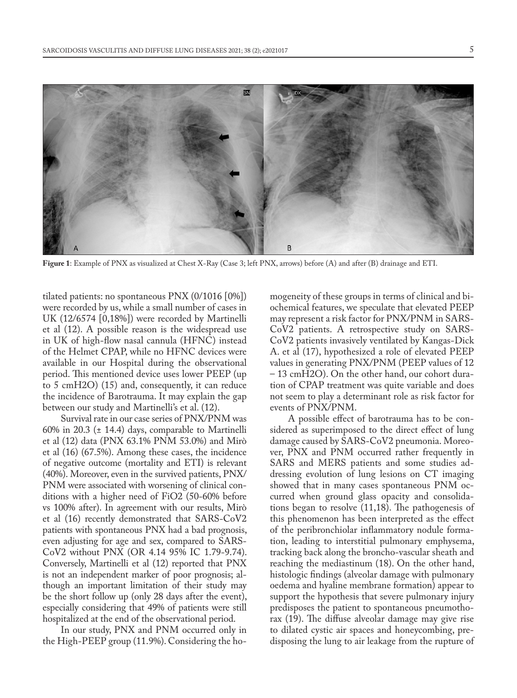

**Figure 1**: Example of PNX as visualized at Chest X-Ray (Case 3; left PNX, arrows) before (A) and after (B) drainage and ETI.

tilated patients: no spontaneous PNX (0/1016 [0%]) were recorded by us, while a small number of cases in UK (12/6574 [0,18%]) were recorded by Martinelli et al (12). A possible reason is the widespread use in UK of high-flow nasal cannula (HFNC) instead of the Helmet CPAP, while no HFNC devices were available in our Hospital during the observational period. This mentioned device uses lower PEEP (up to 5 cmH2O) (15) and, consequently, it can reduce the incidence of Barotrauma. It may explain the gap between our study and Martinelli's et al. (12).

Survival rate in our case series of PNX/PNM was 60% in 20.3 ( $\pm$  14.4) days, comparable to Martinelli et al (12) data (PNX 63.1% PNM 53.0%) and Mirò et al (16) (67.5%). Among these cases, the incidence of negative outcome (mortality and ETI) is relevant (40%). Moreover, even in the survived patients, PNX/ PNM were associated with worsening of clinical conditions with a higher need of FiO2 (50-60% before vs 100% after). In agreement with our results, Mirò et al (16) recently demonstrated that SARS-CoV2 patients with spontaneous PNX had a bad prognosis, even adjusting for age and sex, compared to SARS-CoV2 without PNX (OR 4.14 95% IC 1.79-9.74). Conversely, Martinelli et al (12) reported that PNX is not an independent marker of poor prognosis; although an important limitation of their study may be the short follow up (only 28 days after the event), especially considering that 49% of patients were still hospitalized at the end of the observational period.

In our study, PNX and PNM occurred only in the High-PEEP group (11.9%). Considering the ho-

mogeneity of these groups in terms of clinical and biochemical features, we speculate that elevated PEEP may represent a risk factor for PNX/PNM in SARS-CoV2 patients. A retrospective study on SARS-CoV2 patients invasively ventilated by Kangas-Dick A. et al (17), hypothesized a role of elevated PEEP values in generating PNX/PNM (PEEP values of 12 – 13 cmH2O). On the other hand, our cohort duration of CPAP treatment was quite variable and does not seem to play a determinant role as risk factor for events of PNX/PNM.

A possible effect of barotrauma has to be considered as superimposed to the direct effect of lung damage caused by SARS-CoV2 pneumonia. Moreover, PNX and PNM occurred rather frequently in SARS and MERS patients and some studies addressing evolution of lung lesions on CT imaging showed that in many cases spontaneous PNM occurred when ground glass opacity and consolidations began to resolve (11,18). The pathogenesis of this phenomenon has been interpreted as the effect of the peribronchiolar inflammatory nodule formation, leading to interstitial pulmonary emphysema, tracking back along the broncho-vascular sheath and reaching the mediastinum (18). On the other hand, histologic findings (alveolar damage with pulmonary oedema and hyaline membrane formation) appear to support the hypothesis that severe pulmonary injury predisposes the patient to spontaneous pneumothorax (19). The diffuse alveolar damage may give rise to dilated cystic air spaces and honeycombing, predisposing the lung to air leakage from the rupture of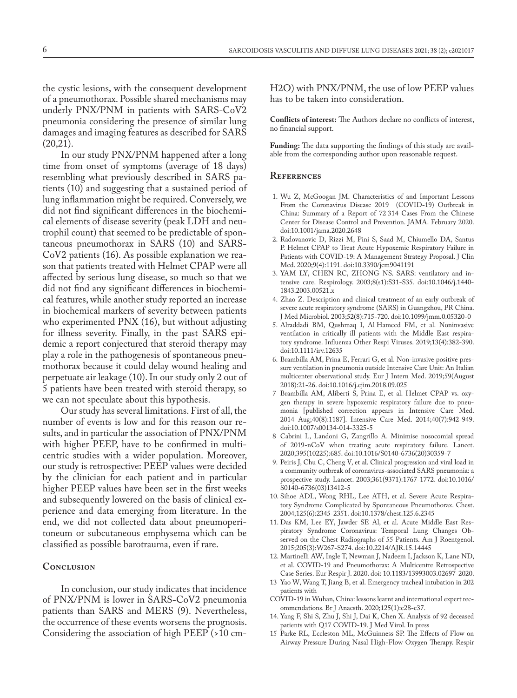the cystic lesions, with the consequent development of a pneumothorax. Possible shared mechanisms may underly PNX/PNM in patients with SARS-CoV2 pneumonia considering the presence of similar lung damages and imaging features as described for SARS (20,21).

In our study PNX/PNM happened after a long time from onset of symptoms (average of 18 days) resembling what previously described in SARS patients (10) and suggesting that a sustained period of lung inflammation might be required. Conversely, we did not find significant differences in the biochemical elements of disease severity (peak LDH and neutrophil count) that seemed to be predictable of spontaneous pneumothorax in SARS (10) and SARS-CoV2 patients (16). As possible explanation we reason that patients treated with Helmet CPAP were all affected by serious lung disease, so much so that we did not find any significant differences in biochemical features, while another study reported an increase in biochemical markers of severity between patients who experimented PNX (16), but without adjusting for illness severity. Finally, in the past SARS epidemic a report conjectured that steroid therapy may play a role in the pathogenesis of spontaneous pneumothorax because it could delay wound healing and perpetuate air leakage (10). In our study only 2 out of 5 patients have been treated with steroid therapy, so we can not speculate about this hypothesis.

Our study has several limitations. First of all, the number of events is low and for this reason our results, and in particular the association of PNX/PNM with higher PEEP, have to be confirmed in multicentric studies with a wider population. Moreover, our study is retrospective: PEEP values were decided by the clinician for each patient and in particular higher PEEP values have been set in the first weeks and subsequently lowered on the basis of clinical experience and data emerging from literature. In the end, we did not collected data about pneumoperitoneum or subcutaneous emphysema which can be classified as possible barotrauma, even if rare.

# **Conclusion**

In conclusion, our study indicates that incidence of PNX/PNM is lower in SARS-CoV2 pneumonia patients than SARS and MERS (9). Nevertheless, the occurrence of these events worsens the prognosis. Considering the association of high PEEP (>10 cmH2O) with PNX/PNM, the use of low PEEP values has to be taken into consideration.

**Conflicts of interest:** The Authors declare no conflicts of interest, no financial support.

**Funding:** The data supporting the findings of this study are available from the corresponding author upon reasonable request.

#### **References**

- 1. Wu Z, McGoogan JM. Characteristics of and Important Lessons From the Coronavirus Disease 2019 (COVID-19) Outbreak in China: Summary of a Report of 72 314 Cases From the Chinese Center for Disease Control and Prevention. JAMA. February 2020. doi:10.1001/jama.2020.2648
- 2. Radovanovic D, Rizzi M, Pini S, Saad M, Chiumello DA, Santus P. Helmet CPAP to Treat Acute Hypoxemic Respiratory Failure in Patients with COVID-19: A Management Strategy Proposal. J Clin Med. 2020;9(4):1191. doi:10.3390/jcm9041191
- 3. YAM LY, CHEN RC, ZHONG NS. SARS: ventilatory and intensive care. Respirology. 2003;8(s1):S31-S35. doi:10.1046/j.1440- 1843.2003.00521.x
- 4. Zhao Z. Description and clinical treatment of an early outbreak of severe acute respiratory syndrome (SARS) in Guangzhou, PR China. J Med Microbiol. 2003;52(8):715-720. doi:10.1099/jmm.0.05320-0
- 5. Alraddadi BM, Qushmaq I, Al Hameed FM, et al. Noninvasive ventilation in critically ill patients with the Middle East respiratory syndrome. Influenza Other Respi Viruses. 2019;13(4):382-390. doi:10.1111/irv.12635
- 6. Brambilla AM, Prina E, Ferrari G, et al. Non-invasive positive pressure ventilation in pneumonia outside Intensive Care Unit: An Italian multicenter observational study. Eur J Intern Med. 2019;59(August 2018):21-26. doi:10.1016/j.ejim.2018.09.025
- 7 Brambilla AM, Aliberti S, Prina E, et al. Helmet CPAP vs. oxygen therapy in severe hypoxemic respiratory failure due to pneumonia [published correction appears in Intensive Care Med. 2014 Aug;40(8):1187]. Intensive Care Med. 2014;40(7):942-949. doi:10.1007/s00134-014-3325-5
- 8 Cabrini L, Landoni G, Zangrillo A. Minimise nosocomial spread of 2019-nCoV when treating acute respiratory failure. Lancet. 2020;395(10225):685. doi:10.1016/S0140-6736(20)30359-7
- 9. Peiris J, Chu C, Cheng V, et al. Clinical progression and viral load in a community outbreak of coronavirus-associated SARS pneumonia: a prospective study. Lancet. 2003;361(9371):1767-1772. doi:10.1016/ S0140-6736(03)13412-5
- 10. Sihoe ADL, Wong RHL, Lee ATH, et al. Severe Acute Respiratory Syndrome Complicated by Spontaneous Pneumothorax. Chest. 2004;125(6):2345-2351. doi:10.1378/chest.125.6.2345
- 11. Das KM, Lee EY, Jawder SE Al, et al. Acute Middle East Respiratory Syndrome Coronavirus: Temporal Lung Changes Observed on the Chest Radiographs of 55 Patients. Am J Roentgenol. 2015;205(3):W267-S274. doi:10.2214/AJR.15.14445
- 12. Martinelli AW, Ingle T, Newman J, Nadeem I, Jackson K, Lane ND, et al. COVID-19 and Pneumothorax: A Multicentre Retrospective Case Series. Eur Respir J. 2020. doi: 10.1183/13993003.02697-2020.
- 13 Yao W, Wang T, Jiang B, et al. Emergency tracheal intubation in 202 patients with
- COVID-19 in Wuhan, China: lessons learnt and international expert recommendations. Br J Anaesth. 2020;125(1):e28-e37.
- 14. Yang F, Shi S, Zhu J, Shi J, Dai K, Chen X. Analysis of 92 deceased patients with Q17 COVID-19. J Med Virol. In press
- 15 Parke RL, Eccleston ML, McGuinness SP. The Effects of Flow on Airway Pressure During Nasal High-Flow Oxygen Therapy. Respir